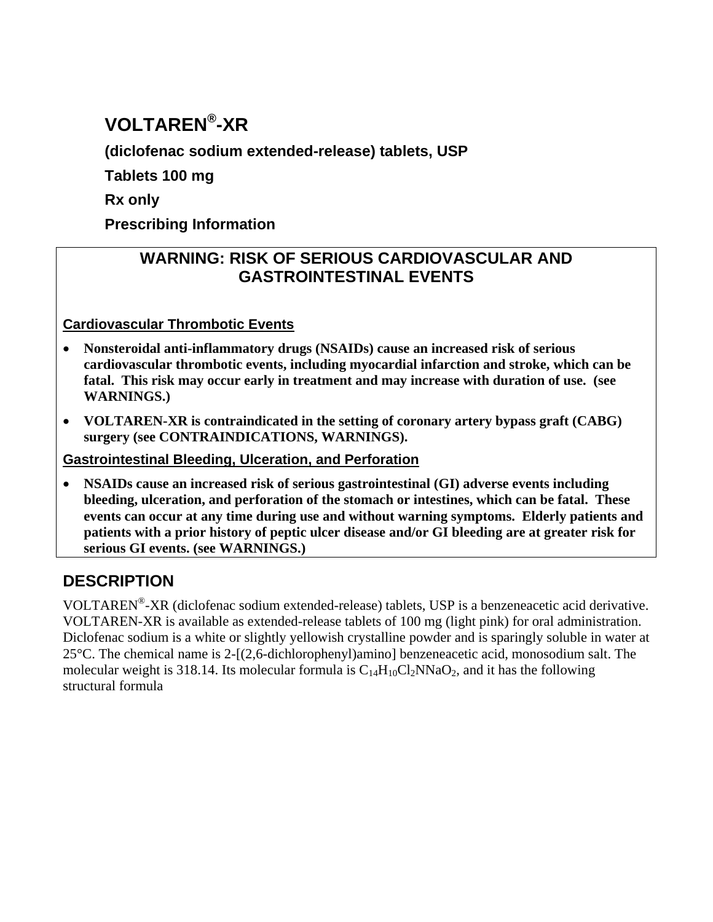# **VOLTAREN® -XR**

**(diclofenac sodium extended-release) tablets, USP**

**Tablets 100 mg**

**Rx only** 

**Prescribing Information**

## **WARNING: RISK OF SERIOUS CARDIOVASCULAR AND GASTROINTESTINAL EVENTS**

**Cardiovascular Thrombotic Events**

- **Nonsteroidal anti-inflammatory drugs (NSAIDs) cause an increased risk of serious cardiovascular thrombotic events, including myocardial infarction and stroke, which can be fatal. This risk may occur early in treatment and may increase with duration of use. (see WARNINGS.)**
- **VOLTAREN-XR is contraindicated in the setting of coronary artery bypass graft (CABG) surgery (see CONTRAINDICATIONS, WARNINGS).**

**Gastrointestinal Bleeding, Ulceration, and Perforation** 

 **NSAIDs cause an increased risk of serious gastrointestinal (GI) adverse events including bleeding, ulceration, and perforation of the stomach or intestines, which can be fatal. These events can occur at any time during use and without warning symptoms. Elderly patients and patients with a prior history of peptic ulcer disease and/or GI bleeding are at greater risk for serious GI events. (see WARNINGS.)**

## **DESCRIPTION**

VOLTAREN® -XR (diclofenac sodium extended-release) tablets, USP is a benzeneacetic acid derivative. VOLTAREN-XR is available as extended-release tablets of 100 mg (light pink) for oral administration. Diclofenac sodium is a white or slightly yellowish crystalline powder and is sparingly soluble in water at 25°C. The chemical name is 2-[(2,6-dichlorophenyl)amino] benzeneacetic acid, monosodium salt. The molecular weight is 318.14. Its molecular formula is  $C_{14}H_{10}Cl_2NNaO_2$ , and it has the following structural formula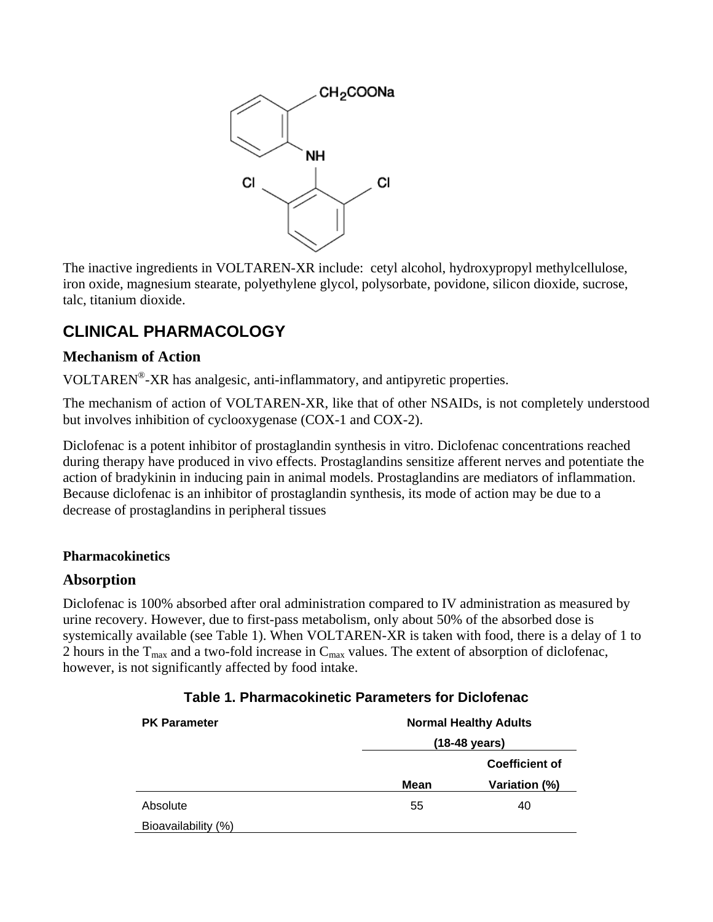

The inactive ingredients in VOLTAREN-XR include: cetyl alcohol, hydroxypropyl methylcellulose, iron oxide, magnesium stearate, polyethylene glycol, polysorbate, povidone, silicon dioxide, sucrose, talc, titanium dioxide.

## **CLINICAL PHARMACOLOGY**

## **Mechanism of Action**

VOLTAREN® -XR has analgesic, anti-inflammatory, and antipyretic properties.

The mechanism of action of VOLTAREN-XR, like that of other NSAIDs, is not completely understood but involves inhibition of cyclooxygenase (COX-1 and COX-2).

Diclofenac is a potent inhibitor of prostaglandin synthesis in vitro. Diclofenac concentrations reached during therapy have produced in vivo effects. Prostaglandins sensitize afferent nerves and potentiate the action of bradykinin in inducing pain in animal models. Prostaglandins are mediators of inflammation. Because diclofenac is an inhibitor of prostaglandin synthesis, its mode of action may be due to a decrease of prostaglandins in peripheral tissues

## **Pharmacokinetics**

## **Absorption**

Diclofenac is 100% absorbed after oral administration compared to IV administration as measured by urine recovery. However, due to first-pass metabolism, only about 50% of the absorbed dose is systemically available (see Table 1). When VOLTAREN-XR is taken with food, there is a delay of 1 to 2 hours in the  $T_{\text{max}}$  and a two-fold increase in  $C_{\text{max}}$  values. The extent of absorption of diclofenac, however, is not significantly affected by food intake.

| <b>PK Parameter</b> | <b>Normal Healthy Adults</b><br>(18-48 years) |                       |
|---------------------|-----------------------------------------------|-----------------------|
|                     |                                               |                       |
|                     |                                               | <b>Coefficient of</b> |
|                     | <b>Mean</b>                                   | Variation (%)         |
| Absolute            | 55                                            | 40                    |
| Bioavailability (%) |                                               |                       |

#### **Table 1. Pharmacokinetic Parameters for Diclofenac**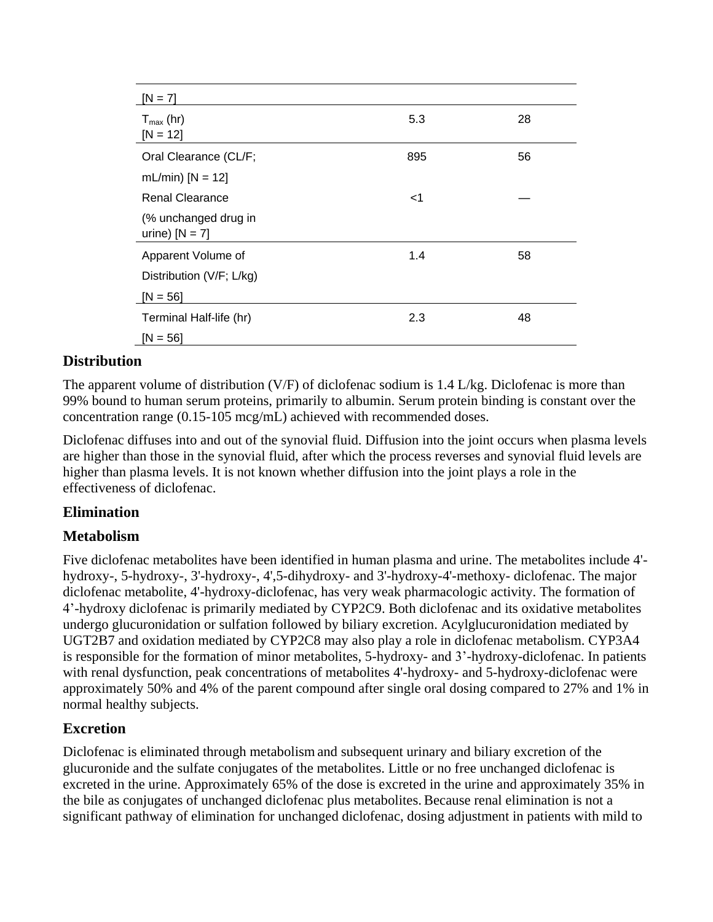| $[N = 7]$                                |       |    |
|------------------------------------------|-------|----|
| $T_{\text{max}}$ (hr)<br>$[N = 12]$      | 5.3   | 28 |
| Oral Clearance (CL/F;                    | 895   | 56 |
| mL/min) $[N = 12]$                       |       |    |
| <b>Renal Clearance</b>                   | $<$ 1 |    |
| (% unchanged drug in<br>urine) $[N = 7]$ |       |    |
| Apparent Volume of                       | 1.4   | 58 |
| Distribution (V/F; L/kg)                 |       |    |
| $[N = 56]$                               |       |    |
| Terminal Half-life (hr)                  | 2.3   | 48 |
| $[N = 56]$                               |       |    |

## **Distribution**

The apparent volume of distribution (V/F) of diclofenac sodium is  $1.4$  L/kg. Diclofenac is more than 99% bound to human serum proteins, primarily to albumin. Serum protein binding is constant over the concentration range (0.15-105 mcg/mL) achieved with recommended doses.

Diclofenac diffuses into and out of the synovial fluid. Diffusion into the joint occurs when plasma levels are higher than those in the synovial fluid, after which the process reverses and synovial fluid levels are higher than plasma levels. It is not known whether diffusion into the joint plays a role in the effectiveness of diclofenac.

## **Elimination**

## **Metabolism**

Five diclofenac metabolites have been identified in human plasma and urine. The metabolites include 4' hydroxy-, 5-hydroxy-, 3'-hydroxy-, 4',5-dihydroxy- and 3'-hydroxy-4'-methoxy- diclofenac. The major diclofenac metabolite, 4'-hydroxy-diclofenac, has very weak pharmacologic activity. The formation of 4'-hydroxy diclofenac is primarily mediated by CYP2C9. Both diclofenac and its oxidative metabolites undergo glucuronidation or sulfation followed by biliary excretion. Acylglucuronidation mediated by UGT2B7 and oxidation mediated by CYP2C8 may also play a role in diclofenac metabolism. CYP3A4 is responsible for the formation of minor metabolites, 5-hydroxy- and 3'-hydroxy-diclofenac. In patients with renal dysfunction, peak concentrations of metabolites 4'-hydroxy- and 5-hydroxy-diclofenac were approximately 50% and 4% of the parent compound after single oral dosing compared to 27% and 1% in normal healthy subjects.

## **Excretion**

Diclofenac is eliminated through metabolism and subsequent urinary and biliary excretion of the glucuronide and the sulfate conjugates of the metabolites. Little or no free unchanged diclofenac is excreted in the urine. Approximately 65% of the dose is excreted in the urine and approximately 35% in the bile as conjugates of unchanged diclofenac plus metabolites. Because renal elimination is not a significant pathway of elimination for unchanged diclofenac, dosing adjustment in patients with mild to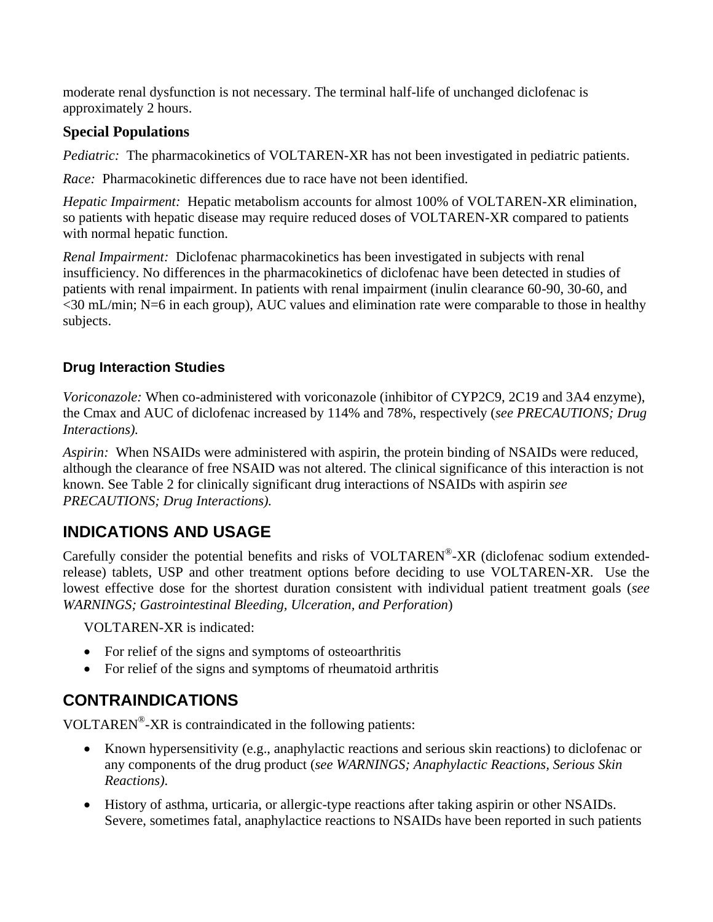moderate renal dysfunction is not necessary. The terminal half-life of unchanged diclofenac is approximately 2 hours.

## **Special Populations**

*Pediatric:* The pharmacokinetics of VOLTAREN-XR has not been investigated in pediatric patients.

*Race:* Pharmacokinetic differences due to race have not been identified.

*Hepatic Impairment:* Hepatic metabolism accounts for almost 100% of VOLTAREN-XR elimination, so patients with hepatic disease may require reduced doses of VOLTAREN-XR compared to patients with normal hepatic function.

*Renal Impairment:* Diclofenac pharmacokinetics has been investigated in subjects with renal insufficiency. No differences in the pharmacokinetics of diclofenac have been detected in studies of patients with renal impairment. In patients with renal impairment (inulin clearance 60-90, 30-60, and <30 mL/min; N=6 in each group), AUC values and elimination rate were comparable to those in healthy subjects.

## **Drug Interaction Studies**

*Voriconazole:* When co-administered with voriconazole (inhibitor of CYP2C9, 2C19 and 3A4 enzyme), the Cmax and AUC of diclofenac increased by 114% and 78%, respectively (*see PRECAUTIONS; Drug Interactions).* 

*Aspirin:* When NSAIDs were administered with aspirin, the protein binding of NSAIDs were reduced, although the clearance of free NSAID was not altered. The clinical significance of this interaction is not known. See Table 2 for clinically significant drug interactions of NSAIDs with aspirin *see PRECAUTIONS; Drug Interactions).* 

## **INDICATIONS AND USAGE**

Carefully consider the potential benefits and risks of VOLTAREN®-XR (diclofenac sodium extendedrelease) tablets, USP and other treatment options before deciding to use VOLTAREN-XR. Use the lowest effective dose for the shortest duration consistent with individual patient treatment goals (*see WARNINGS; Gastrointestinal Bleeding, Ulceration, and Perforation*)

VOLTAREN-XR is indicated:

- For relief of the signs and symptoms of osteoarthritis
- For relief of the signs and symptoms of rheumatoid arthritis

## **CONTRAINDICATIONS**

VOLTAREN® -XR is contraindicated in the following patients:

- Known hypersensitivity (e.g., anaphylactic reactions and serious skin reactions) to diclofenac or any components of the drug product (*see WARNINGS; Anaphylactic Reactions, Serious Skin Reactions)*.
- History of asthma, urticaria, or allergic-type reactions after taking aspirin or other NSAIDs. Severe, sometimes fatal, anaphylactice reactions to NSAIDs have been reported in such patients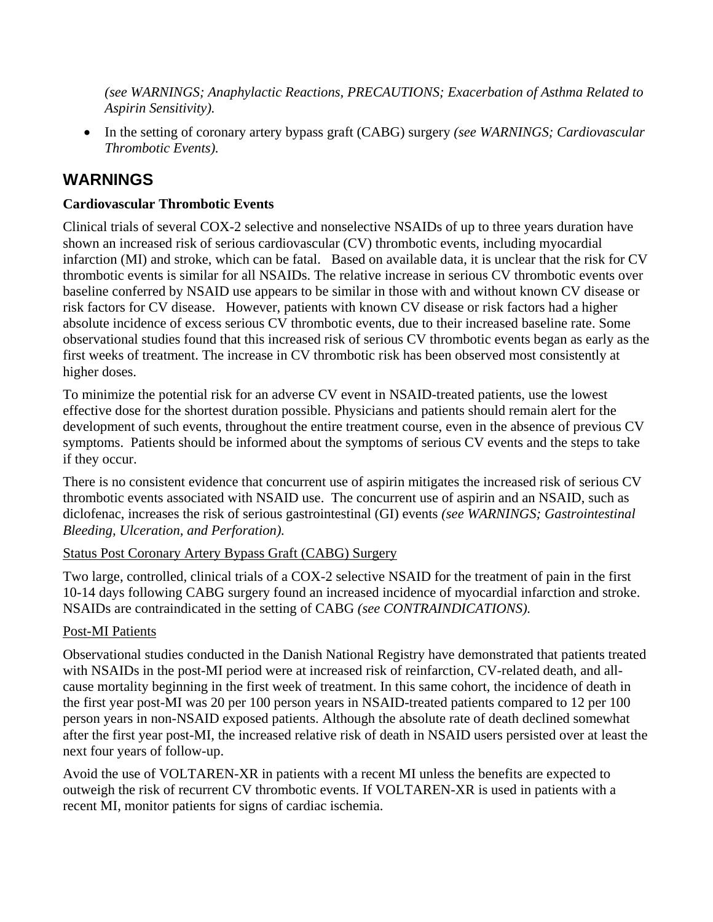*(see WARNINGS; Anaphylactic Reactions, PRECAUTIONS; Exacerbation of Asthma Related to Aspirin Sensitivity).*

 In the setting of coronary artery bypass graft (CABG) surgery *(see WARNINGS; Cardiovascular Thrombotic Events).*

## **WARNINGS**

## **Cardiovascular Thrombotic Events**

Clinical trials of several COX-2 selective and nonselective NSAIDs of up to three years duration have shown an increased risk of serious cardiovascular (CV) thrombotic events, including myocardial infarction (MI) and stroke, which can be fatal. Based on available data, it is unclear that the risk for CV thrombotic events is similar for all NSAIDs. The relative increase in serious CV thrombotic events over baseline conferred by NSAID use appears to be similar in those with and without known CV disease or risk factors for CV disease. However, patients with known CV disease or risk factors had a higher absolute incidence of excess serious CV thrombotic events, due to their increased baseline rate. Some observational studies found that this increased risk of serious CV thrombotic events began as early as the first weeks of treatment. The increase in CV thrombotic risk has been observed most consistently at higher doses.

To minimize the potential risk for an adverse CV event in NSAID-treated patients, use the lowest effective dose for the shortest duration possible. Physicians and patients should remain alert for the development of such events, throughout the entire treatment course, even in the absence of previous CV symptoms. Patients should be informed about the symptoms of serious CV events and the steps to take if they occur.

There is no consistent evidence that concurrent use of aspirin mitigates the increased risk of serious CV thrombotic events associated with NSAID use. The concurrent use of aspirin and an NSAID, such as diclofenac, increases the risk of serious gastrointestinal (GI) events *(see WARNINGS; Gastrointestinal Bleeding, Ulceration, and Perforation).*

## Status Post Coronary Artery Bypass Graft (CABG) Surgery

Two large, controlled, clinical trials of a COX-2 selective NSAID for the treatment of pain in the first 10-14 days following CABG surgery found an increased incidence of myocardial infarction and stroke. NSAIDs are contraindicated in the setting of CABG *(see CONTRAINDICATIONS).*

## Post-MI Patients

Observational studies conducted in the Danish National Registry have demonstrated that patients treated with NSAIDs in the post-MI period were at increased risk of reinfarction, CV-related death, and allcause mortality beginning in the first week of treatment. In this same cohort, the incidence of death in the first year post-MI was 20 per 100 person years in NSAID-treated patients compared to 12 per 100 person years in non-NSAID exposed patients. Although the absolute rate of death declined somewhat after the first year post-MI, the increased relative risk of death in NSAID users persisted over at least the next four years of follow-up.

Avoid the use of VOLTAREN-XR in patients with a recent MI unless the benefits are expected to outweigh the risk of recurrent CV thrombotic events. If VOLTAREN-XR is used in patients with a recent MI, monitor patients for signs of cardiac ischemia.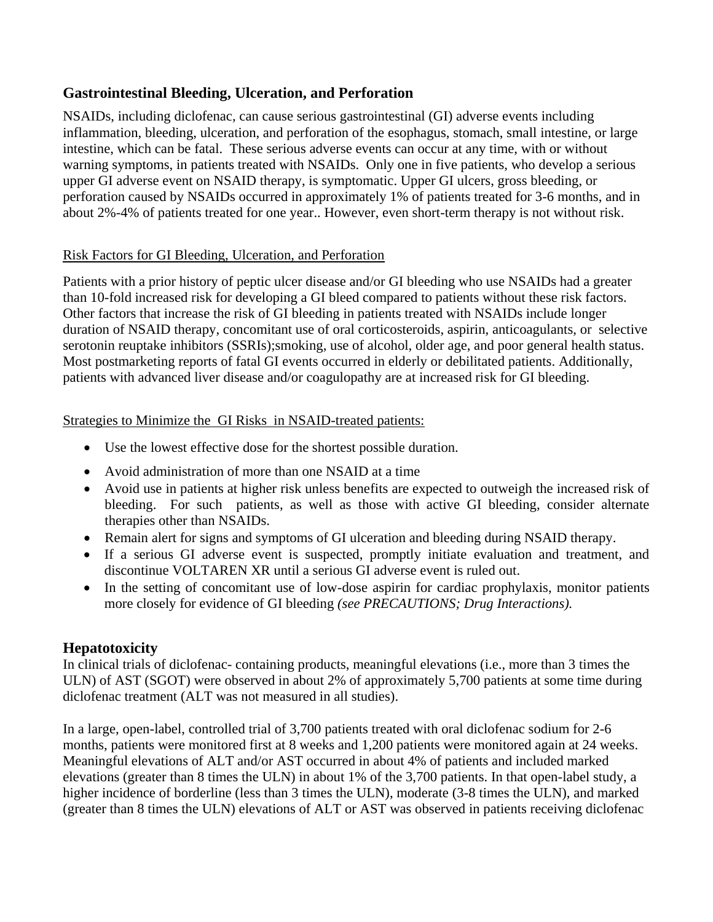## **Gastrointestinal Bleeding, Ulceration, and Perforation**

NSAIDs, including diclofenac, can cause serious gastrointestinal (GI) adverse events including inflammation, bleeding, ulceration, and perforation of the esophagus, stomach, small intestine, or large intestine, which can be fatal. These serious adverse events can occur at any time, with or without warning symptoms, in patients treated with NSAIDs. Only one in five patients, who develop a serious upper GI adverse event on NSAID therapy, is symptomatic. Upper GI ulcers, gross bleeding, or perforation caused by NSAIDs occurred in approximately 1% of patients treated for 3-6 months, and in about 2%-4% of patients treated for one year.. However, even short-term therapy is not without risk.

## Risk Factors for GI Bleeding, Ulceration, and Perforation

Patients with a prior history of peptic ulcer disease and/or GI bleeding who use NSAIDs had a greater than 10-fold increased risk for developing a GI bleed compared to patients without these risk factors. Other factors that increase the risk of GI bleeding in patients treated with NSAIDs include longer duration of NSAID therapy, concomitant use of oral corticosteroids, aspirin, anticoagulants, or selective serotonin reuptake inhibitors (SSRIs);smoking, use of alcohol, older age, and poor general health status. Most postmarketing reports of fatal GI events occurred in elderly or debilitated patients. Additionally, patients with advanced liver disease and/or coagulopathy are at increased risk for GI bleeding.

#### Strategies to Minimize the GI Risks in NSAID-treated patients:

- Use the lowest effective dose for the shortest possible duration.
- Avoid administration of more than one NSAID at a time
- Avoid use in patients at higher risk unless benefits are expected to outweigh the increased risk of bleeding. For such patients, as well as those with active GI bleeding, consider alternate therapies other than NSAIDs.
- Remain alert for signs and symptoms of GI ulceration and bleeding during NSAID therapy.
- If a serious GI adverse event is suspected, promptly initiate evaluation and treatment, and discontinue VOLTAREN XR until a serious GI adverse event is ruled out.
- In the setting of concomitant use of low-dose aspirin for cardiac prophylaxis, monitor patients more closely for evidence of GI bleeding *(see PRECAUTIONS; Drug Interactions).*

## **Hepatotoxicity**

In clinical trials of diclofenac- containing products, meaningful elevations (i.e., more than 3 times the ULN) of AST (SGOT) were observed in about 2% of approximately 5,700 patients at some time during diclofenac treatment (ALT was not measured in all studies).

In a large, open-label, controlled trial of 3,700 patients treated with oral diclofenac sodium for 2-6 months, patients were monitored first at 8 weeks and 1,200 patients were monitored again at 24 weeks. Meaningful elevations of ALT and/or AST occurred in about 4% of patients and included marked elevations (greater than 8 times the ULN) in about 1% of the 3,700 patients. In that open-label study, a higher incidence of borderline (less than 3 times the ULN), moderate (3-8 times the ULN), and marked (greater than 8 times the ULN) elevations of ALT or AST was observed in patients receiving diclofenac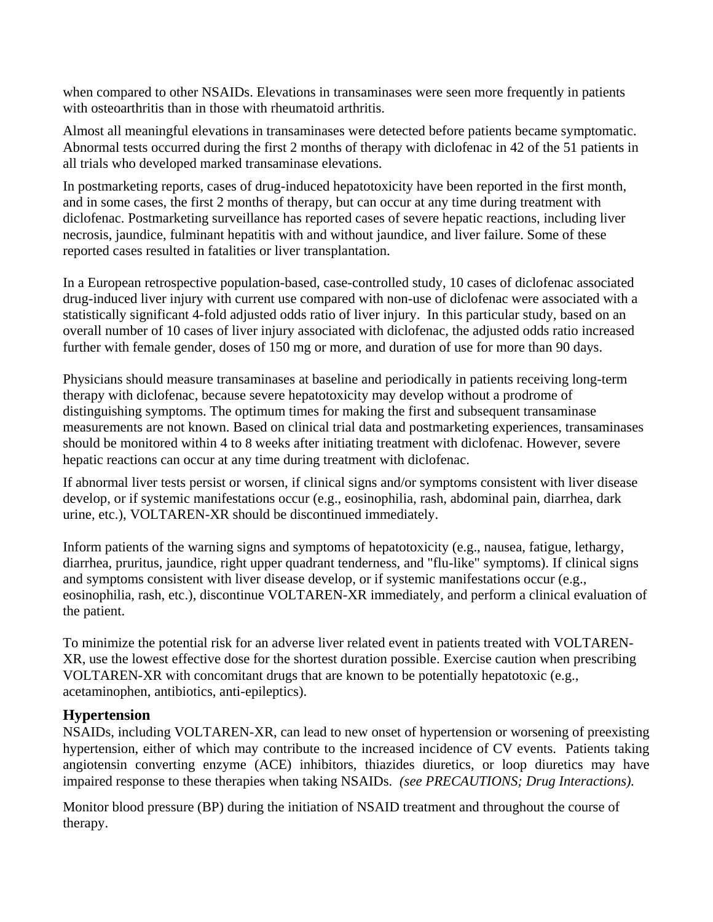when compared to other NSAIDs. Elevations in transaminases were seen more frequently in patients with osteoarthritis than in those with rheumatoid arthritis.

Almost all meaningful elevations in transaminases were detected before patients became symptomatic. Abnormal tests occurred during the first 2 months of therapy with diclofenac in 42 of the 51 patients in all trials who developed marked transaminase elevations.

In postmarketing reports, cases of drug-induced hepatotoxicity have been reported in the first month, and in some cases, the first 2 months of therapy, but can occur at any time during treatment with diclofenac. Postmarketing surveillance has reported cases of severe hepatic reactions, including liver necrosis, jaundice, fulminant hepatitis with and without jaundice, and liver failure. Some of these reported cases resulted in fatalities or liver transplantation.

In a European retrospective population-based, case-controlled study, 10 cases of diclofenac associated drug-induced liver injury with current use compared with non-use of diclofenac were associated with a statistically significant 4-fold adjusted odds ratio of liver injury. In this particular study, based on an overall number of 10 cases of liver injury associated with diclofenac, the adjusted odds ratio increased further with female gender, doses of 150 mg or more, and duration of use for more than 90 days.

Physicians should measure transaminases at baseline and periodically in patients receiving long-term therapy with diclofenac, because severe hepatotoxicity may develop without a prodrome of distinguishing symptoms. The optimum times for making the first and subsequent transaminase measurements are not known. Based on clinical trial data and postmarketing experiences, transaminases should be monitored within 4 to 8 weeks after initiating treatment with diclofenac. However, severe hepatic reactions can occur at any time during treatment with diclofenac.

If abnormal liver tests persist or worsen, if clinical signs and/or symptoms consistent with liver disease develop, or if systemic manifestations occur (e.g., eosinophilia, rash, abdominal pain, diarrhea, dark urine, etc.), VOLTAREN-XR should be discontinued immediately.

Inform patients of the warning signs and symptoms of hepatotoxicity (e.g., nausea, fatigue, lethargy, diarrhea, pruritus, jaundice, right upper quadrant tenderness, and "flu-like" symptoms). If clinical signs and symptoms consistent with liver disease develop, or if systemic manifestations occur (e.g., eosinophilia, rash, etc.), discontinue VOLTAREN-XR immediately, and perform a clinical evaluation of the patient.

To minimize the potential risk for an adverse liver related event in patients treated with VOLTAREN-XR, use the lowest effective dose for the shortest duration possible. Exercise caution when prescribing VOLTAREN-XR with concomitant drugs that are known to be potentially hepatotoxic (e.g., acetaminophen, antibiotics, anti-epileptics).

## **Hypertension**

NSAIDs, including VOLTAREN-XR, can lead to new onset of hypertension or worsening of preexisting hypertension, either of which may contribute to the increased incidence of CV events. Patients taking angiotensin converting enzyme (ACE) inhibitors, thiazides diuretics, or loop diuretics may have impaired response to these therapies when taking NSAIDs. *(see PRECAUTIONS; Drug Interactions).*

Monitor blood pressure (BP) during the initiation of NSAID treatment and throughout the course of therapy.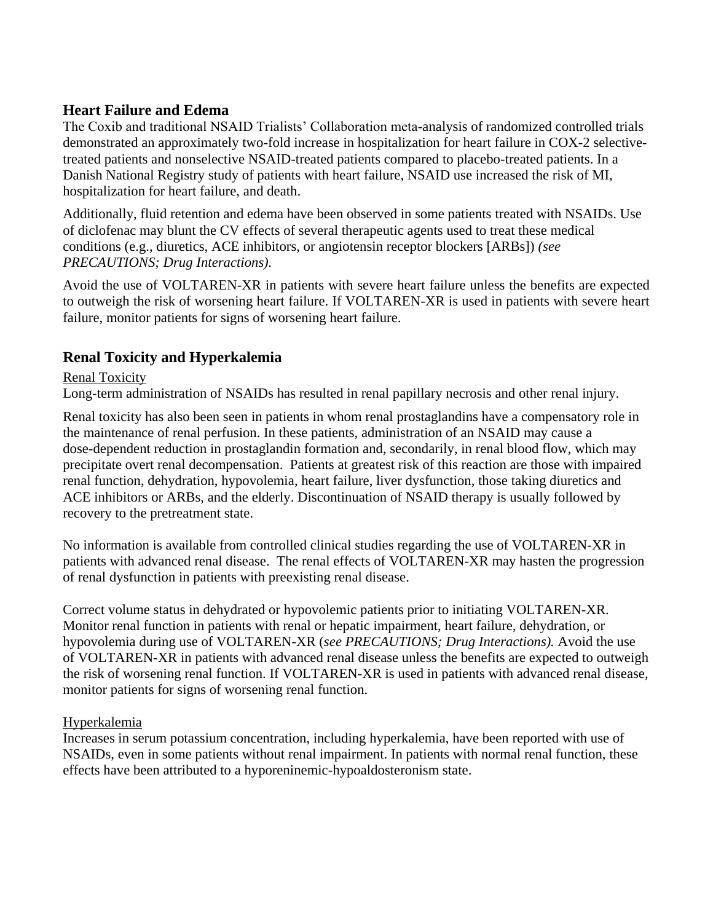## **Heart Failure and Edema**

The Coxib and traditional NSAID Trialists' Collaboration meta-analysis of randomized controlled trials demonstrated an approximately two-fold increase in hospitalization for heart failure in COX-2 selectivetreated patients and nonselective NSAID-treated patients compared to placebo-treated patients. In a Danish National Registry study of patients with heart failure, NSAID use increased the risk of MI, hospitalization for heart failure, and death.

Additionally, fluid retention and edema have been observed in some patients treated with NSAIDs. Use of diclofenac may blunt the CV effects of several therapeutic agents used to treat these medical conditions (e.g., diuretics, ACE inhibitors, or angiotensin receptor blockers [ARBs]) *(see PRECAUTIONS; Drug Interactions).*

Avoid the use of VOLTAREN-XR in patients with severe heart failure unless the benefits are expected to outweigh the risk of worsening heart failure. If VOLTAREN-XR is used in patients with severe heart failure, monitor patients for signs of worsening heart failure.

## **Renal Toxicity and Hyperkalemia**

#### Renal Toxicity

Long-term administration of NSAIDs has resulted in renal papillary necrosis and other renal injury.

Renal toxicity has also been seen in patients in whom renal prostaglandins have a compensatory role in the maintenance of renal perfusion. In these patients, administration of an NSAID may cause a dose-dependent reduction in prostaglandin formation and, secondarily, in renal blood flow, which may precipitate overt renal decompensation. Patients at greatest risk of this reaction are those with impaired renal function, dehydration, hypovolemia, heart failure, liver dysfunction, those taking diuretics and ACE inhibitors or ARBs, and the elderly. Discontinuation of NSAID therapy is usually followed by recovery to the pretreatment state.

No information is available from controlled clinical studies regarding the use of VOLTAREN-XR in patients with advanced renal disease. The renal effects of VOLTAREN-XR may hasten the progression of renal dysfunction in patients with preexisting renal disease.

Correct volume status in dehydrated or hypovolemic patients prior to initiating VOLTAREN-XR. Monitor renal function in patients with renal or hepatic impairment, heart failure, dehydration, or hypovolemia during use of VOLTAREN-XR (*see PRECAUTIONS; Drug Interactions).* Avoid the use of VOLTAREN-XR in patients with advanced renal disease unless the benefits are expected to outweigh the risk of worsening renal function. If VOLTAREN-XR is used in patients with advanced renal disease, monitor patients for signs of worsening renal function.

#### Hyperkalemia

Increases in serum potassium concentration, including hyperkalemia, have been reported with use of NSAIDs, even in some patients without renal impairment. In patients with normal renal function, these effects have been attributed to a hyporeninemic-hypoaldosteronism state.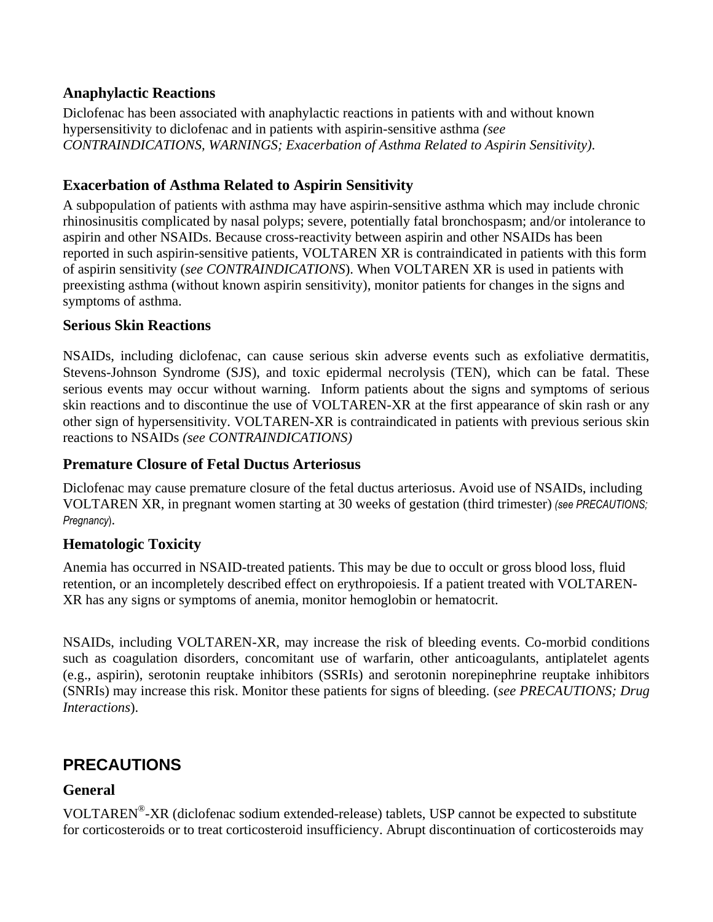#### **Anaphylactic Reactions**

Diclofenac has been associated with anaphylactic reactions in patients with and without known hypersensitivity to diclofenac and in patients with aspirin-sensitive asthma *(see CONTRAINDICATIONS, WARNINGS; Exacerbation of Asthma Related to Aspirin Sensitivity)*.

## **Exacerbation of Asthma Related to Aspirin Sensitivity**

A subpopulation of patients with asthma may have aspirin-sensitive asthma which may include chronic rhinosinusitis complicated by nasal polyps; severe, potentially fatal bronchospasm; and/or intolerance to aspirin and other NSAIDs. Because cross-reactivity between aspirin and other NSAIDs has been reported in such aspirin-sensitive patients, VOLTAREN XR is contraindicated in patients with this form of aspirin sensitivity (*see CONTRAINDICATIONS*). When VOLTAREN XR is used in patients with preexisting asthma (without known aspirin sensitivity), monitor patients for changes in the signs and symptoms of asthma.

## **Serious Skin Reactions**

NSAIDs, including diclofenac, can cause serious skin adverse events such as exfoliative dermatitis, Stevens-Johnson Syndrome (SJS), and toxic epidermal necrolysis (TEN), which can be fatal. These serious events may occur without warning. Inform patients about the signs and symptoms of serious skin reactions and to discontinue the use of VOLTAREN-XR at the first appearance of skin rash or any other sign of hypersensitivity. VOLTAREN-XR is contraindicated in patients with previous serious skin reactions to NSAIDs *(see CONTRAINDICATIONS)*

## **Premature Closure of Fetal Ductus Arteriosus**

Diclofenac may cause premature closure of the fetal ductus arteriosus. Avoid use of NSAIDs, including VOLTAREN XR, in pregnant women starting at 30 weeks of gestation (third trimester) *(see PRECAUTIONS; Pregnancy*).

## **Hematologic Toxicity**

Anemia has occurred in NSAID-treated patients. This may be due to occult or gross blood loss, fluid retention, or an incompletely described effect on erythropoiesis. If a patient treated with VOLTAREN-XR has any signs or symptoms of anemia, monitor hemoglobin or hematocrit.

NSAIDs, including VOLTAREN-XR, may increase the risk of bleeding events. Co-morbid conditions such as coagulation disorders, concomitant use of warfarin, other anticoagulants, antiplatelet agents (e.g., aspirin), serotonin reuptake inhibitors (SSRIs) and serotonin norepinephrine reuptake inhibitors (SNRIs) may increase this risk. Monitor these patients for signs of bleeding. (*see PRECAUTIONS; Drug Interactions*).

## **PRECAUTIONS**

## **General**

VOLTAREN® -XR (diclofenac sodium extended-release) tablets, USP cannot be expected to substitute for corticosteroids or to treat corticosteroid insufficiency. Abrupt discontinuation of corticosteroids may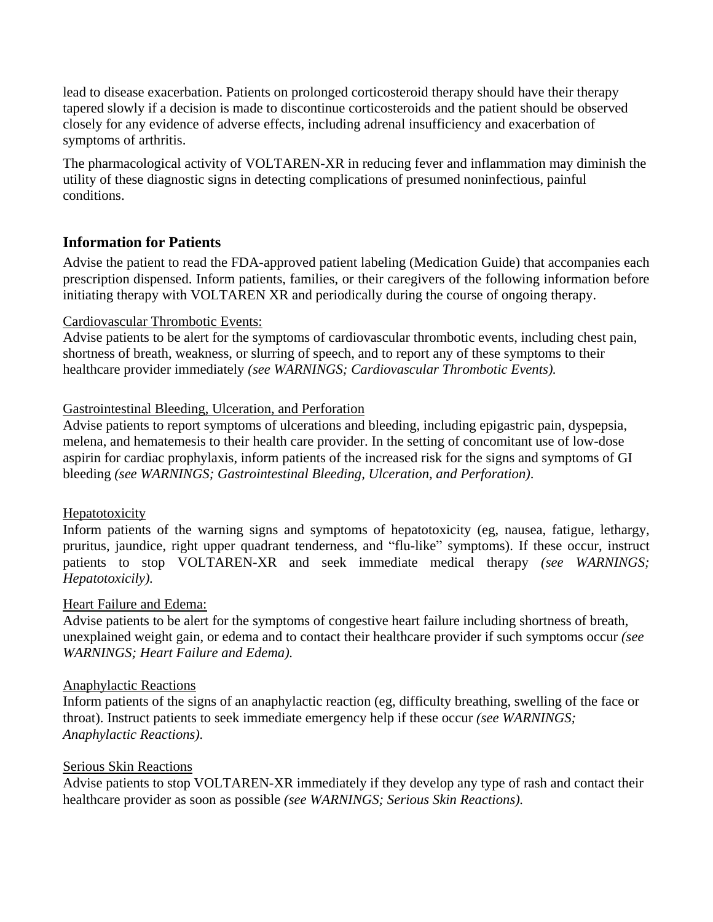lead to disease exacerbation. Patients on prolonged corticosteroid therapy should have their therapy tapered slowly if a decision is made to discontinue corticosteroids and the patient should be observed closely for any evidence of adverse effects, including adrenal insufficiency and exacerbation of symptoms of arthritis.

The pharmacological activity of VOLTAREN-XR in reducing fever and inflammation may diminish the utility of these diagnostic signs in detecting complications of presumed noninfectious, painful conditions.

## **Information for Patients**

Advise the patient to read the FDA-approved patient labeling (Medication Guide) that accompanies each prescription dispensed. Inform patients, families, or their caregivers of the following information before initiating therapy with VOLTAREN XR and periodically during the course of ongoing therapy.

#### Cardiovascular Thrombotic Events:

Advise patients to be alert for the symptoms of cardiovascular thrombotic events, including chest pain, shortness of breath, weakness, or slurring of speech, and to report any of these symptoms to their healthcare provider immediately *(see WARNINGS; Cardiovascular Thrombotic Events).*

#### Gastrointestinal Bleeding, Ulceration, and Perforation

Advise patients to report symptoms of ulcerations and bleeding, including epigastric pain, dyspepsia, melena, and hematemesis to their health care provider. In the setting of concomitant use of low-dose aspirin for cardiac prophylaxis, inform patients of the increased risk for the signs and symptoms of GI bleeding *(see WARNINGS; Gastrointestinal Bleeding, Ulceration, and Perforation)*.

#### **Hepatotoxicity**

Inform patients of the warning signs and symptoms of hepatotoxicity (eg, nausea, fatigue, lethargy, pruritus, jaundice, right upper quadrant tenderness, and "flu-like" symptoms). If these occur, instruct patients to stop VOLTAREN-XR and seek immediate medical therapy *(see WARNINGS; Hepatotoxicily).*

#### Heart Failure and Edema:

Advise patients to be alert for the symptoms of congestive heart failure including shortness of breath, unexplained weight gain, or edema and to contact their healthcare provider if such symptoms occur *(see WARNINGS; Heart Failure and Edema).*

#### Anaphylactic Reactions

Inform patients of the signs of an anaphylactic reaction (eg, difficulty breathing, swelling of the face or throat). Instruct patients to seek immediate emergency help if these occur *(see WARNINGS; Anaphylactic Reactions).*

#### Serious Skin Reactions

Advise patients to stop VOLTAREN-XR immediately if they develop any type of rash and contact their healthcare provider as soon as possible *(see WARNINGS; Serious Skin Reactions).*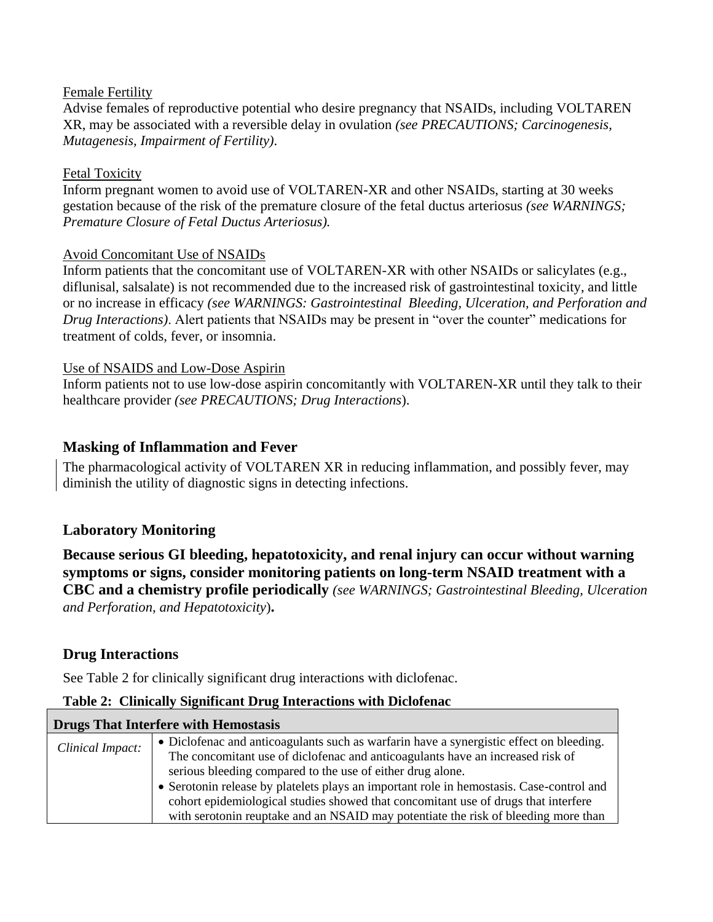#### Female Fertility

Advise females of reproductive potential who desire pregnancy that NSAIDs, including VOLTAREN XR, may be associated with a reversible delay in ovulation *(see PRECAUTIONS; Carcinogenesis, Mutagenesis, Impairment of Fertility)*.

#### Fetal Toxicity

Inform pregnant women to avoid use of VOLTAREN-XR and other NSAIDs, starting at 30 weeks gestation because of the risk of the premature closure of the fetal ductus arteriosus *(see WARNINGS; Premature Closure of Fetal Ductus Arteriosus).*

#### Avoid Concomitant Use of NSAIDs

Inform patients that the concomitant use of VOLTAREN-XR with other NSAIDs or salicylates (e.g., diflunisal, salsalate) is not recommended due to the increased risk of gastrointestinal toxicity, and little or no increase in efficacy *(see WARNINGS: Gastrointestinal Bleeding, Ulceration, and Perforation and Drug Interactions)*. Alert patients that NSAIDs may be present in "over the counter" medications for treatment of colds, fever, or insomnia.

#### Use of NSAIDS and Low-Dose Aspirin

Inform patients not to use low-dose aspirin concomitantly with VOLTAREN-XR until they talk to their healthcare provider *(see PRECAUTIONS; Drug Interactions*).

#### **Masking of Inflammation and Fever**

The pharmacological activity of VOLTAREN XR in reducing inflammation, and possibly fever, may diminish the utility of diagnostic signs in detecting infections.

## **Laboratory Monitoring**

**Because serious GI bleeding, hepatotoxicity, and renal injury can occur without warning symptoms or signs, consider monitoring patients on long-term NSAID treatment with a CBC and a chemistry profile periodically** *(see WARNINGS; Gastrointestinal Bleeding, Ulceration and Perforation, and Hepatotoxicity*)**.**

#### **Drug Interactions**

See Table 2 for clinically significant drug interactions with diclofenac.

#### **Table 2: Clinically Significant Drug Interactions with Diclofenac**

| Drugs That Interfere with Hemostasis |                                                                                          |  |
|--------------------------------------|------------------------------------------------------------------------------------------|--|
| Clinical Impact:                     | • Diclofenac and anticoagulants such as warfarin have a synergistic effect on bleeding.  |  |
|                                      | The concomitant use of diclofenac and anticoagulants have an increased risk of           |  |
|                                      | serious bleeding compared to the use of either drug alone.                               |  |
|                                      | • Serotonin release by platelets plays an important role in hemostasis. Case-control and |  |
|                                      | cohort epidemiological studies showed that concomitant use of drugs that interfere       |  |
|                                      | with serotonin reuptake and an NSAID may potentiate the risk of bleeding more than       |  |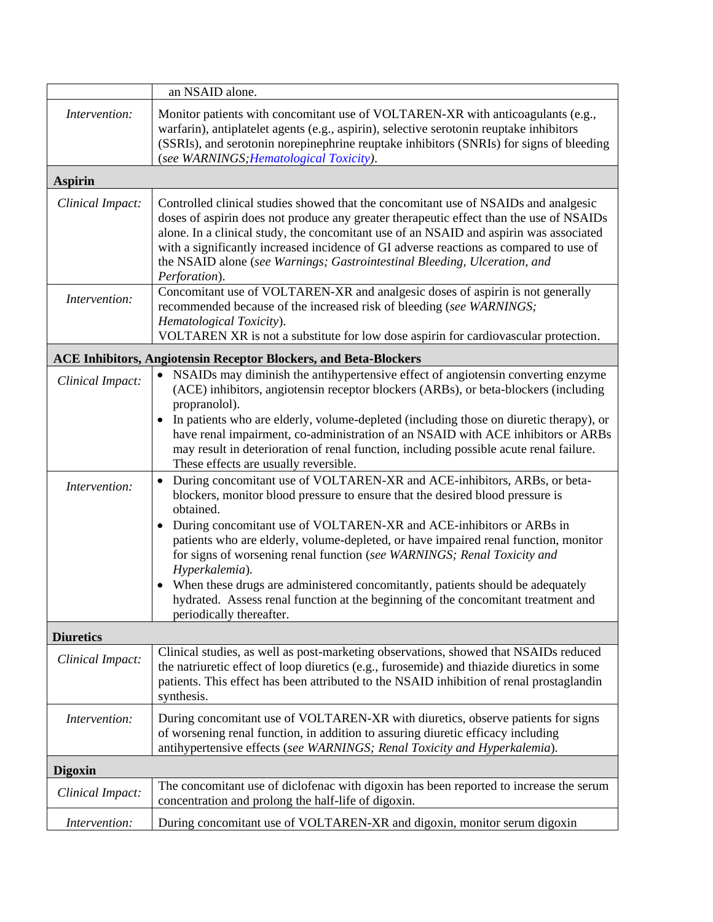|                  | an NSAID alone.                                                                                                                                                                                                                                                                                                                                                                                                                                                                                                                                                                                                                      |
|------------------|--------------------------------------------------------------------------------------------------------------------------------------------------------------------------------------------------------------------------------------------------------------------------------------------------------------------------------------------------------------------------------------------------------------------------------------------------------------------------------------------------------------------------------------------------------------------------------------------------------------------------------------|
| Intervention:    | Monitor patients with concomitant use of VOLTAREN-XR with anticoagulants (e.g.,<br>warfarin), antiplatelet agents (e.g., aspirin), selective serotonin reuptake inhibitors<br>(SSRIs), and serotonin norepinephrine reuptake inhibitors (SNRIs) for signs of bleeding<br>(see WARNINGS; Hematological Toxicity).                                                                                                                                                                                                                                                                                                                     |
| <b>Aspirin</b>   |                                                                                                                                                                                                                                                                                                                                                                                                                                                                                                                                                                                                                                      |
| Clinical Impact: | Controlled clinical studies showed that the concomitant use of NSAIDs and analgesic<br>doses of aspirin does not produce any greater therapeutic effect than the use of NSAIDs<br>alone. In a clinical study, the concomitant use of an NSAID and aspirin was associated<br>with a significantly increased incidence of GI adverse reactions as compared to use of<br>the NSAID alone (see Warnings; Gastrointestinal Bleeding, Ulceration, and<br>Perforation).                                                                                                                                                                     |
| Intervention:    | Concomitant use of VOLTAREN-XR and analgesic doses of aspirin is not generally<br>recommended because of the increased risk of bleeding (see WARNINGS;<br>Hematological Toxicity).<br>VOLTAREN XR is not a substitute for low dose aspirin for cardiovascular protection.                                                                                                                                                                                                                                                                                                                                                            |
|                  | <b>ACE Inhibitors, Angiotensin Receptor Blockers, and Beta-Blockers</b>                                                                                                                                                                                                                                                                                                                                                                                                                                                                                                                                                              |
| Clinical Impact: | NSAIDs may diminish the antihypertensive effect of angiotensin converting enzyme<br>$\bullet$<br>(ACE) inhibitors, angiotensin receptor blockers (ARBs), or beta-blockers (including<br>propranolol).<br>In patients who are elderly, volume-depleted (including those on diuretic therapy), or<br>have renal impairment, co-administration of an NSAID with ACE inhibitors or ARBs<br>may result in deterioration of renal function, including possible acute renal failure.                                                                                                                                                        |
|                  | These effects are usually reversible.                                                                                                                                                                                                                                                                                                                                                                                                                                                                                                                                                                                                |
| Intervention:    | During concomitant use of VOLTAREN-XR and ACE-inhibitors, ARBs, or beta-<br>blockers, monitor blood pressure to ensure that the desired blood pressure is<br>obtained.<br>During concomitant use of VOLTAREN-XR and ACE-inhibitors or ARBs in<br>patients who are elderly, volume-depleted, or have impaired renal function, monitor<br>for signs of worsening renal function (see WARNINGS; Renal Toxicity and<br>Hyperkalemia).<br>When these drugs are administered concomitantly, patients should be adequately<br>hydrated. Assess renal function at the beginning of the concomitant treatment and<br>periodically thereafter. |
| <b>Diuretics</b> |                                                                                                                                                                                                                                                                                                                                                                                                                                                                                                                                                                                                                                      |
| Clinical Impact: | Clinical studies, as well as post-marketing observations, showed that NSAIDs reduced<br>the natriuretic effect of loop diuretics (e.g., furosemide) and thiazide diuretics in some<br>patients. This effect has been attributed to the NSAID inhibition of renal prostaglandin<br>synthesis.                                                                                                                                                                                                                                                                                                                                         |
| Intervention:    | During concomitant use of VOLTAREN-XR with diuretics, observe patients for signs<br>of worsening renal function, in addition to assuring diuretic efficacy including<br>antihypertensive effects (see WARNINGS; Renal Toxicity and Hyperkalemia).                                                                                                                                                                                                                                                                                                                                                                                    |
| <b>Digoxin</b>   |                                                                                                                                                                                                                                                                                                                                                                                                                                                                                                                                                                                                                                      |
| Clinical Impact: | The concomitant use of diclofenac with digoxin has been reported to increase the serum<br>concentration and prolong the half-life of digoxin.                                                                                                                                                                                                                                                                                                                                                                                                                                                                                        |
| Intervention:    | During concomitant use of VOLTAREN-XR and digoxin, monitor serum digoxin                                                                                                                                                                                                                                                                                                                                                                                                                                                                                                                                                             |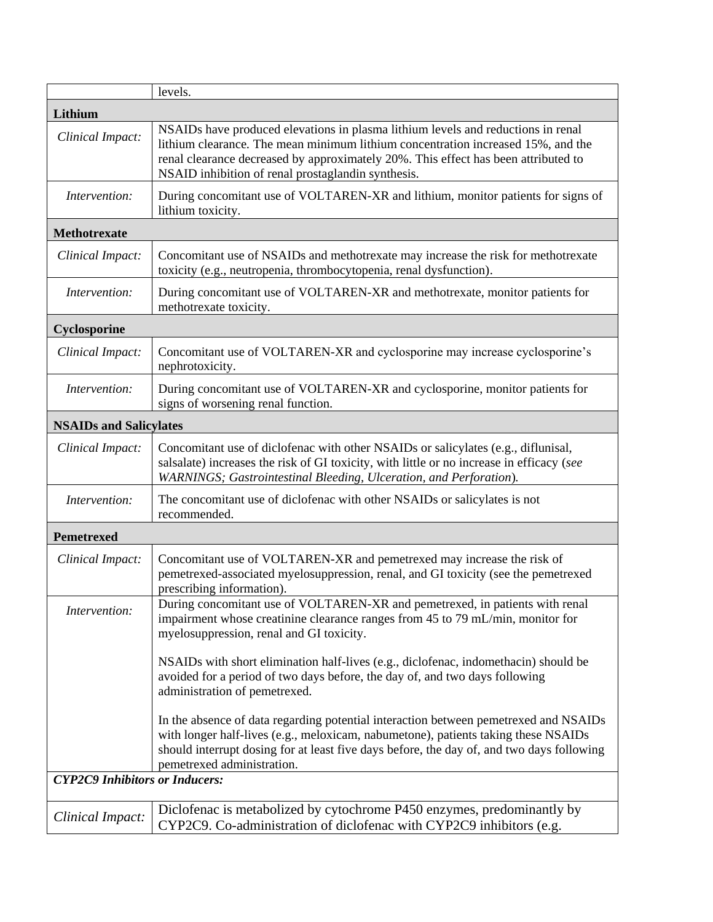|                                       | levels.                                                                                                                                                                                                                                                                                                          |  |
|---------------------------------------|------------------------------------------------------------------------------------------------------------------------------------------------------------------------------------------------------------------------------------------------------------------------------------------------------------------|--|
| Lithium                               |                                                                                                                                                                                                                                                                                                                  |  |
| Clinical Impact:                      | NSAIDs have produced elevations in plasma lithium levels and reductions in renal<br>lithium clearance. The mean minimum lithium concentration increased 15%, and the<br>renal clearance decreased by approximately 20%. This effect has been attributed to<br>NSAID inhibition of renal prostaglandin synthesis. |  |
| Intervention:                         | During concomitant use of VOLTAREN-XR and lithium, monitor patients for signs of<br>lithium toxicity.                                                                                                                                                                                                            |  |
| Methotrexate                          |                                                                                                                                                                                                                                                                                                                  |  |
| Clinical Impact:                      | Concomitant use of NSAIDs and methotrexate may increase the risk for methotrexate<br>toxicity (e.g., neutropenia, thrombocytopenia, renal dysfunction).                                                                                                                                                          |  |
| Intervention:                         | During concomitant use of VOLTAREN-XR and methotrexate, monitor patients for<br>methotrexate toxicity.                                                                                                                                                                                                           |  |
| Cyclosporine                          |                                                                                                                                                                                                                                                                                                                  |  |
| Clinical Impact:                      | Concomitant use of VOLTAREN-XR and cyclosporine may increase cyclosporine's<br>nephrotoxicity.                                                                                                                                                                                                                   |  |
| Intervention:                         | During concomitant use of VOLTAREN-XR and cyclosporine, monitor patients for<br>signs of worsening renal function.                                                                                                                                                                                               |  |
| <b>NSAIDs and Salicylates</b>         |                                                                                                                                                                                                                                                                                                                  |  |
| Clinical Impact:                      | Concomitant use of diclofenac with other NSAIDs or salicylates (e.g., diflunisal,<br>salsalate) increases the risk of GI toxicity, with little or no increase in efficacy (see<br>WARNINGS; Gastrointestinal Bleeding, Ulceration, and Perforation).                                                             |  |
| Intervention:                         | The concomitant use of diclofenac with other NSAIDs or salicylates is not<br>recommended.                                                                                                                                                                                                                        |  |
| <b>Pemetrexed</b>                     |                                                                                                                                                                                                                                                                                                                  |  |
| Clinical Impact:                      | Concomitant use of VOLTAREN-XR and pemetrexed may increase the risk of<br>pemetrexed-associated myelosuppression, renal, and GI toxicity (see the pemetrexed<br>prescribing information).                                                                                                                        |  |
| Intervention:                         | During concomitant use of VOLTAREN-XR and pemetrexed, in patients with renal<br>impairment whose creatinine clearance ranges from 45 to 79 mL/min, monitor for<br>myelosuppression, renal and GI toxicity.                                                                                                       |  |
|                                       | NSAIDs with short elimination half-lives (e.g., diclofenac, indomethacin) should be<br>avoided for a period of two days before, the day of, and two days following<br>administration of pemetrexed.                                                                                                              |  |
|                                       | In the absence of data regarding potential interaction between pemetrexed and NSAIDs<br>with longer half-lives (e.g., meloxicam, nabumetone), patients taking these NSAIDs<br>should interrupt dosing for at least five days before, the day of, and two days following<br>pemetrexed administration.            |  |
| <b>CYP2C9 Inhibitors or Inducers:</b> |                                                                                                                                                                                                                                                                                                                  |  |
| Clinical Impact:                      | Diclofenac is metabolized by cytochrome P450 enzymes, predominantly by<br>CYP2C9. Co-administration of diclofenac with CYP2C9 inhibitors (e.g.                                                                                                                                                                   |  |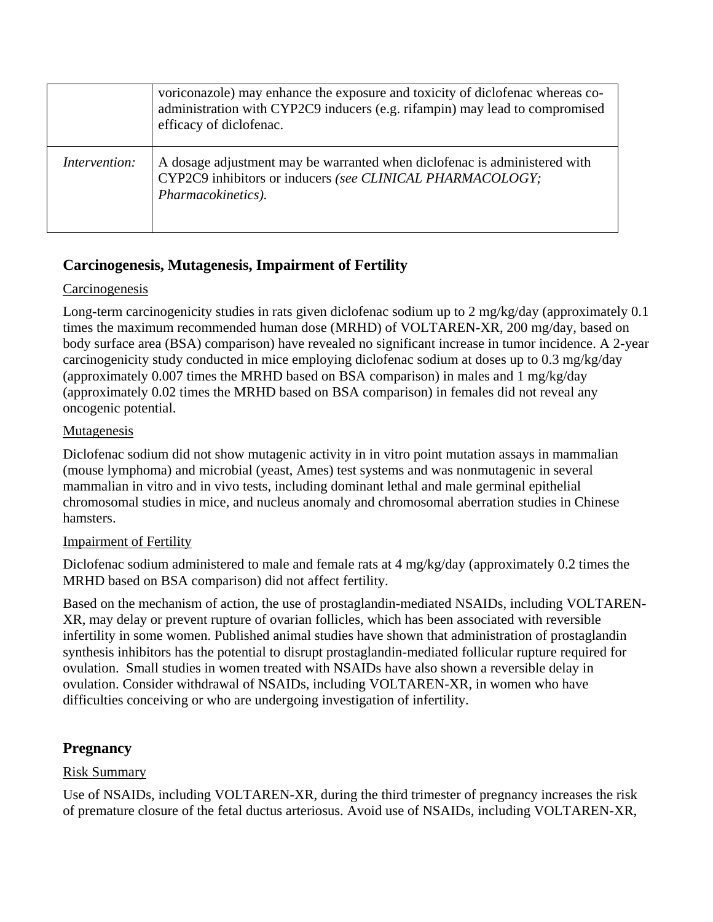|                      | voriconazole) may enhance the exposure and toxicity of diclofenac whereas co-<br>administration with CYP2C9 inducers (e.g. rifampin) may lead to compromised<br>efficacy of diclofenac. |
|----------------------|-----------------------------------------------------------------------------------------------------------------------------------------------------------------------------------------|
| <i>Intervention:</i> | A dosage adjustment may be warranted when diclofenac is administered with<br>CYP2C9 inhibitors or inducers (see CLINICAL PHARMACOLOGY;<br>Pharmacokinetics).                            |

## **Carcinogenesis, Mutagenesis, Impairment of Fertility**

#### **Carcinogenesis**

Long-term carcinogenicity studies in rats given diclofenac sodium up to 2 mg/kg/day (approximately 0.1 times the maximum recommended human dose (MRHD) of VOLTAREN-XR, 200 mg/day, based on body surface area (BSA) comparison) have revealed no significant increase in tumor incidence. A 2-year carcinogenicity study conducted in mice employing diclofenac sodium at doses up to 0.3 mg/kg/day (approximately 0.007 times the MRHD based on BSA comparison) in males and 1 mg/kg/day (approximately 0.02 times the MRHD based on BSA comparison) in females did not reveal any oncogenic potential.

#### Mutagenesis

Diclofenac sodium did not show mutagenic activity in in vitro point mutation assays in mammalian (mouse lymphoma) and microbial (yeast, Ames) test systems and was nonmutagenic in several mammalian in vitro and in vivo tests, including dominant lethal and male germinal epithelial chromosomal studies in mice, and nucleus anomaly and chromosomal aberration studies in Chinese hamsters.

## Impairment of Fertility

Diclofenac sodium administered to male and female rats at 4 mg/kg/day (approximately 0.2 times the MRHD based on BSA comparison) did not affect fertility.

Based on the mechanism of action, the use of prostaglandin-mediated NSAIDs, including VOLTAREN-XR, may delay or prevent rupture of ovarian follicles, which has been associated with reversible infertility in some women. Published animal studies have shown that administration of prostaglandin synthesis inhibitors has the potential to disrupt prostaglandin-mediated follicular rupture required for ovulation. Small studies in women treated with NSAIDs have also shown a reversible delay in ovulation. Consider withdrawal of NSAIDs, including VOLTAREN-XR, in women who have difficulties conceiving or who are undergoing investigation of infertility.

## **Pregnancy**

## Risk Summary

Use of NSAIDs, including VOLTAREN-XR, during the third trimester of pregnancy increases the risk of premature closure of the fetal ductus arteriosus. Avoid use of NSAIDs, including VOLTAREN-XR,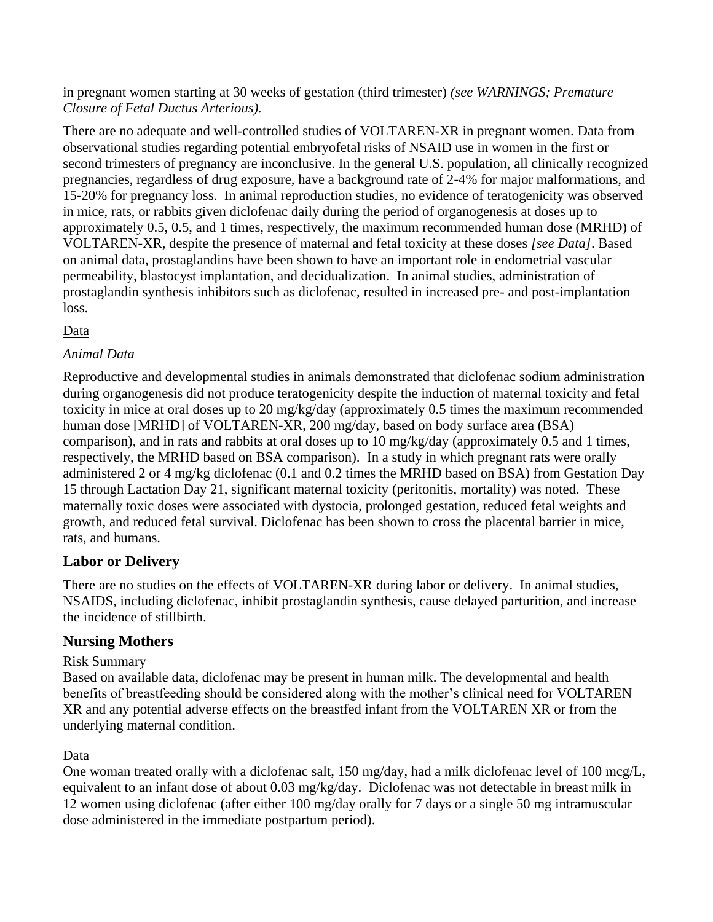in pregnant women starting at 30 weeks of gestation (third trimester) *(see WARNINGS; Premature Closure of Fetal Ductus Arterious).*

There are no adequate and well-controlled studies of VOLTAREN-XR in pregnant women. Data from observational studies regarding potential embryofetal risks of NSAID use in women in the first or second trimesters of pregnancy are inconclusive. In the general U.S. population, all clinically recognized pregnancies, regardless of drug exposure, have a background rate of 2-4% for major malformations, and 15-20% for pregnancy loss. In animal reproduction studies, no evidence of teratogenicity was observed in mice, rats, or rabbits given diclofenac daily during the period of organogenesis at doses up to approximately 0.5, 0.5, and 1 times, respectively, the maximum recommended human dose (MRHD) of VOLTAREN-XR, despite the presence of maternal and fetal toxicity at these doses *[see Data]*. Based on animal data, prostaglandins have been shown to have an important role in endometrial vascular permeability, blastocyst implantation, and decidualization. In animal studies, administration of prostaglandin synthesis inhibitors such as diclofenac, resulted in increased pre- and post-implantation loss.

## Data

#### *Animal Data*

Reproductive and developmental studies in animals demonstrated that diclofenac sodium administration during organogenesis did not produce teratogenicity despite the induction of maternal toxicity and fetal toxicity in mice at oral doses up to 20 mg/kg/day (approximately 0.5 times the maximum recommended human dose [MRHD] of VOLTAREN-XR, 200 mg/day, based on body surface area (BSA) comparison), and in rats and rabbits at oral doses up to 10 mg/kg/day (approximately 0.5 and 1 times, respectively, the MRHD based on BSA comparison). In a study in which pregnant rats were orally administered 2 or 4 mg/kg diclofenac (0.1 and 0.2 times the MRHD based on BSA) from Gestation Day 15 through Lactation Day 21, significant maternal toxicity (peritonitis, mortality) was noted. These maternally toxic doses were associated with dystocia, prolonged gestation, reduced fetal weights and growth, and reduced fetal survival. Diclofenac has been shown to cross the placental barrier in mice, rats, and humans.

## **Labor or Delivery**

There are no studies on the effects of VOLTAREN-XR during labor or delivery. In animal studies, NSAIDS, including diclofenac, inhibit prostaglandin synthesis, cause delayed parturition, and increase the incidence of stillbirth.

## **Nursing Mothers**

#### Risk Summary

Based on available data, diclofenac may be present in human milk. The developmental and health benefits of breastfeeding should be considered along with the mother's clinical need for VOLTAREN XR and any potential adverse effects on the breastfed infant from the VOLTAREN XR or from the underlying maternal condition.

#### Data

One woman treated orally with a diclofenac salt, 150 mg/day, had a milk diclofenac level of 100 mcg/L, equivalent to an infant dose of about 0.03 mg/kg/day. Diclofenac was not detectable in breast milk in 12 women using diclofenac (after either 100 mg/day orally for 7 days or a single 50 mg intramuscular dose administered in the immediate postpartum period).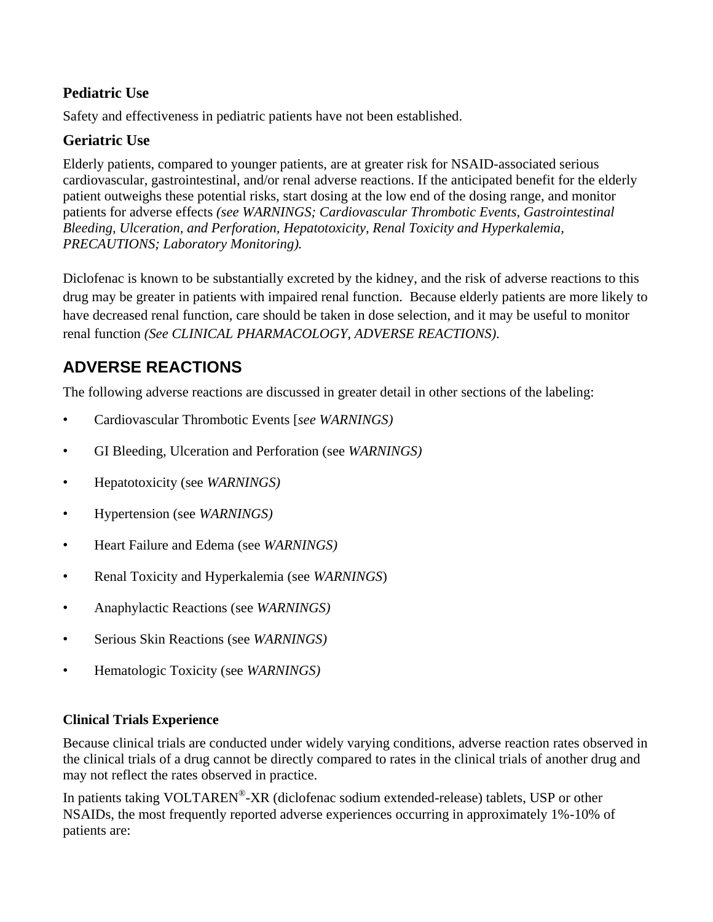## **Pediatric Use**

Safety and effectiveness in pediatric patients have not been established.

## **Geriatric Use**

Elderly patients, compared to younger patients, are at greater risk for NSAID-associated serious cardiovascular, gastrointestinal, and/or renal adverse reactions. If the anticipated benefit for the elderly patient outweighs these potential risks, start dosing at the low end of the dosing range, and monitor patients for adverse effects *(see WARNINGS; Cardiovascular Thrombotic Events, Gastrointestinal Bleeding, Ulceration, and Perforation, Hepatotoxicity, Renal Toxicity and Hyperkalemia, PRECAUTIONS; Laboratory Monitoring).*

Diclofenac is known to be substantially excreted by the kidney, and the risk of adverse reactions to this drug may be greater in patients with impaired renal function. Because elderly patients are more likely to have decreased renal function, care should be taken in dose selection, and it may be useful to monitor renal function *(See CLINICAL PHARMACOLOGY, ADVERSE REACTIONS)*.

## **ADVERSE REACTIONS**

The following adverse reactions are discussed in greater detail in other sections of the labeling:

- Cardiovascular Thrombotic Events [*see WARNINGS)*
- GI Bleeding, Ulceration and Perforation (see *WARNINGS)*
- Hepatotoxicity (see *WARNINGS)*
- Hypertension (see *WARNINGS)*
- Heart Failure and Edema (see *WARNINGS)*
- Renal Toxicity and Hyperkalemia (see *WARNINGS*)
- Anaphylactic Reactions (see *WARNINGS)*
- Serious Skin Reactions (see *WARNINGS)*
- Hematologic Toxicity (see *WARNINGS)*

#### **Clinical Trials Experience**

Because clinical trials are conducted under widely varying conditions, adverse reaction rates observed in the clinical trials of a drug cannot be directly compared to rates in the clinical trials of another drug and may not reflect the rates observed in practice.

In patients taking VOLTAREN®-XR (diclofenac sodium extended-release) tablets, USP or other NSAIDs, the most frequently reported adverse experiences occurring in approximately 1%-10% of patients are: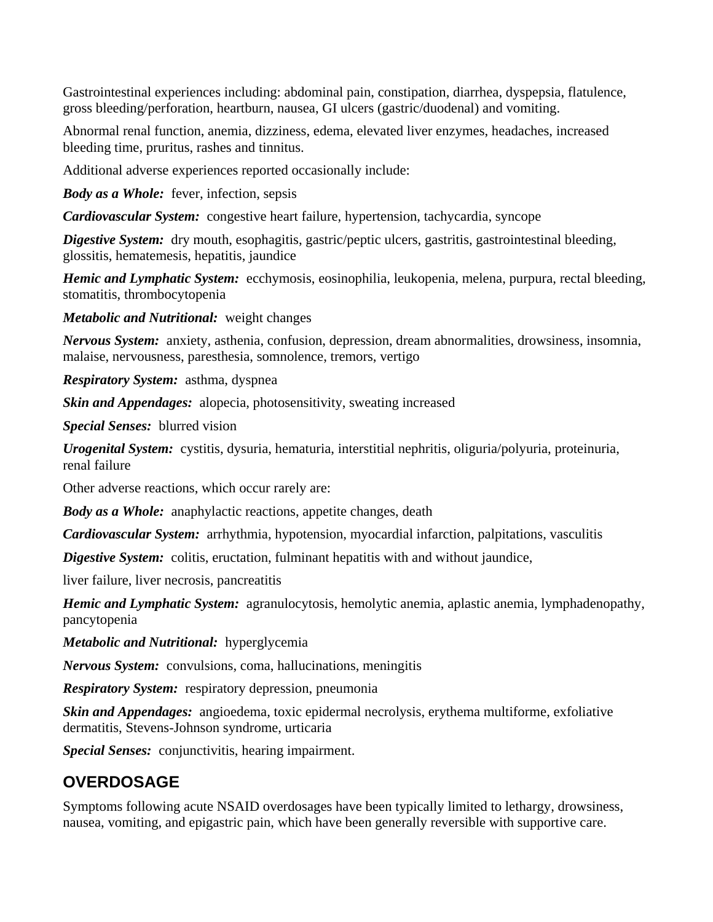Gastrointestinal experiences including: abdominal pain, constipation, diarrhea, dyspepsia, flatulence, gross bleeding/perforation, heartburn, nausea, GI ulcers (gastric/duodenal) and vomiting.

Abnormal renal function, anemia, dizziness, edema, elevated liver enzymes, headaches, increased bleeding time, pruritus, rashes and tinnitus.

Additional adverse experiences reported occasionally include:

*Body as a Whole:* fever, infection, sepsis

*Cardiovascular System:* congestive heart failure, hypertension, tachycardia, syncope

*Digestive System:* dry mouth, esophagitis, gastric/peptic ulcers, gastritis, gastrointestinal bleeding, glossitis, hematemesis, hepatitis, jaundice

*Hemic and Lymphatic System:* ecchymosis, eosinophilia, leukopenia, melena, purpura, rectal bleeding, stomatitis, thrombocytopenia

*Metabolic and Nutritional:* weight changes

*Nervous System:* anxiety, asthenia, confusion, depression, dream abnormalities, drowsiness, insomnia, malaise, nervousness, paresthesia, somnolence, tremors, vertigo

*Respiratory System:* asthma, dyspnea

*Skin and Appendages:* alopecia, photosensitivity, sweating increased

*Special Senses:* blurred vision

*Urogenital System:* cystitis, dysuria, hematuria, interstitial nephritis, oliguria/polyuria, proteinuria, renal failure

Other adverse reactions, which occur rarely are:

*Body as a Whole:* anaphylactic reactions, appetite changes, death

*Cardiovascular System:* arrhythmia, hypotension, myocardial infarction, palpitations, vasculitis

*Digestive System:* colitis, eructation, fulminant hepatitis with and without jaundice,

liver failure, liver necrosis, pancreatitis

*Hemic and Lymphatic System:* agranulocytosis, hemolytic anemia, aplastic anemia, lymphadenopathy, pancytopenia

*Metabolic and Nutritional:* hyperglycemia

*Nervous System:* convulsions, coma, hallucinations, meningitis

*Respiratory System:* respiratory depression, pneumonia

*Skin and Appendages:* angioedema, toxic epidermal necrolysis, erythema multiforme, exfoliative dermatitis, Stevens-Johnson syndrome, urticaria

*Special Senses:* conjunctivitis, hearing impairment.

## **OVERDOSAGE**

Symptoms following acute NSAID overdosages have been typically limited to lethargy, drowsiness, nausea, vomiting, and epigastric pain, which have been generally reversible with supportive care.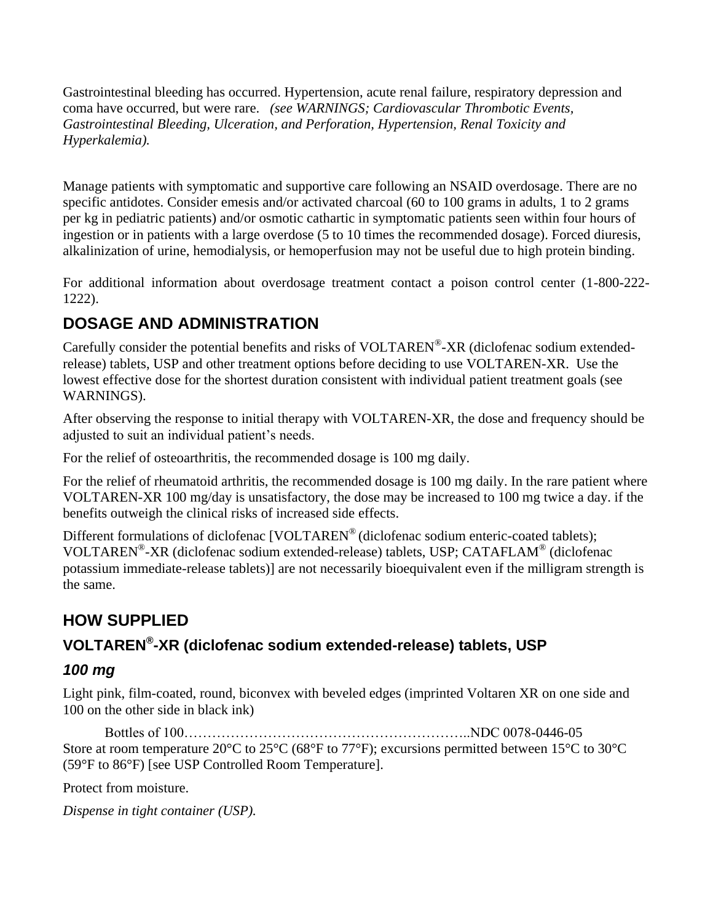Gastrointestinal bleeding has occurred. Hypertension, acute renal failure, respiratory depression and coma have occurred, but were rare. *(see WARNINGS; Cardiovascular Thrombotic Events, Gastrointestinal Bleeding, Ulceration, and Perforation, Hypertension, Renal Toxicity and Hyperkalemia).*

Manage patients with symptomatic and supportive care following an NSAID overdosage. There are no specific antidotes. Consider emesis and/or activated charcoal (60 to 100 grams in adults, 1 to 2 grams per kg in pediatric patients) and/or osmotic cathartic in symptomatic patients seen within four hours of ingestion or in patients with a large overdose (5 to 10 times the recommended dosage). Forced diuresis, alkalinization of urine, hemodialysis, or hemoperfusion may not be useful due to high protein binding.

For additional information about overdosage treatment contact a poison control center (1-800-222- 1222).

## **DOSAGE AND ADMINISTRATION**

Carefully consider the potential benefits and risks of VOLTAREN®-XR (diclofenac sodium extendedrelease) tablets, USP and other treatment options before deciding to use VOLTAREN-XR. Use the lowest effective dose for the shortest duration consistent with individual patient treatment goals (see WARNINGS).

After observing the response to initial therapy with VOLTAREN-XR, the dose and frequency should be adjusted to suit an individual patient's needs.

For the relief of osteoarthritis, the recommended dosage is 100 mg daily.

For the relief of rheumatoid arthritis, the recommended dosage is 100 mg daily. In the rare patient where VOLTAREN-XR 100 mg/day is unsatisfactory, the dose may be increased to 100 mg twice a day. if the benefits outweigh the clinical risks of increased side effects.

Different formulations of diclofenac [VOLTAREN® (diclofenac sodium enteric-coated tablets); VOLTAREN® -XR (diclofenac sodium extended-release) tablets, USP; CATAFLAM® (diclofenac potassium immediate-release tablets)] are not necessarily bioequivalent even if the milligram strength is the same.

## **HOW SUPPLIED**

## **VOLTAREN® -XR (diclofenac sodium extended-release) tablets, USP**

## *100 mg*

Light pink, film-coated, round, biconvex with beveled edges (imprinted Voltaren XR on one side and 100 on the other side in black ink)

Bottles of 100……………………………………………………..NDC 0078-0446-05 Store at room temperature 20°C to 25°C (68°F to 77°F); excursions permitted between 15°C to 30°C (59°F to 86°F) [see USP Controlled Room Temperature].

Protect from moisture.

*Dispense in tight container (USP).*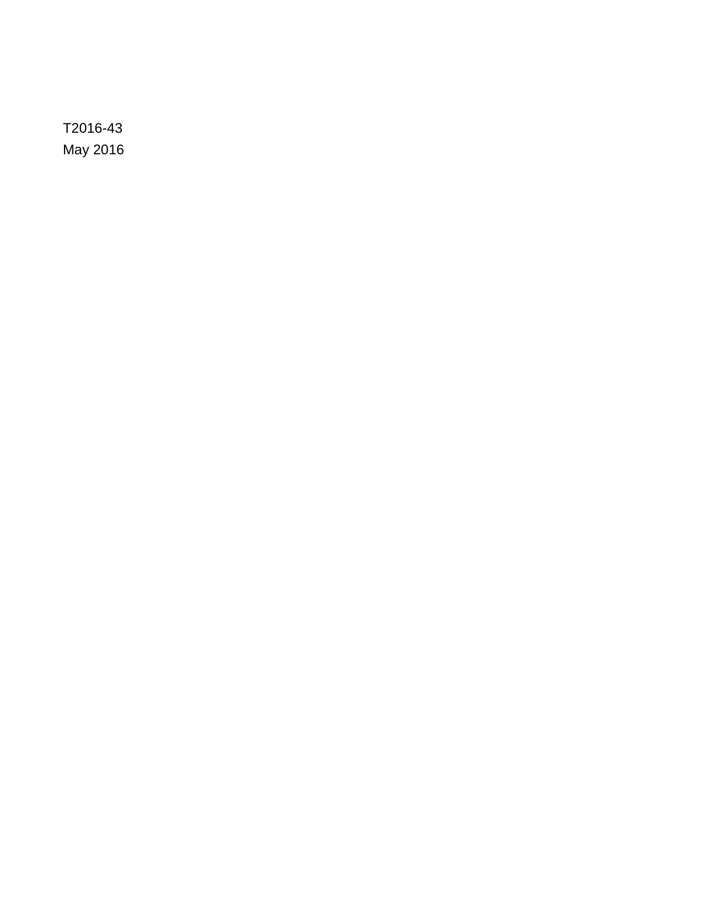T2016-43 May 2016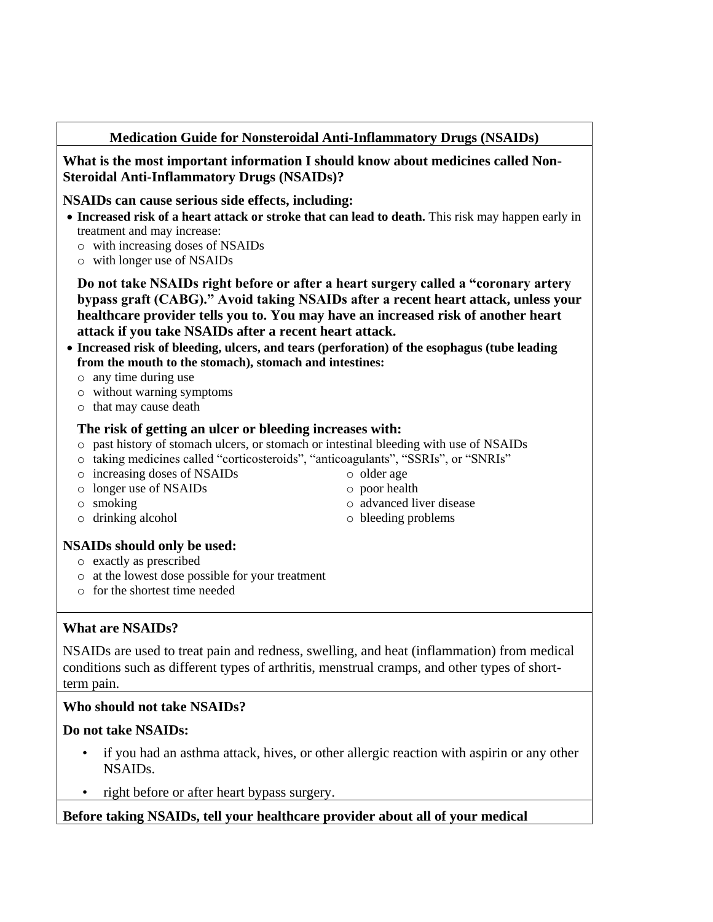#### **Medication Guide for Nonsteroidal Anti-Inflammatory Drugs (NSAIDs)**

**What is the most important information I should know about medicines called Non-Steroidal Anti-Inflammatory Drugs (NSAIDs)?**

#### **NSAIDs can cause serious side effects, including:**

- **Increased risk of a heart attack or stroke that can lead to death.** This risk may happen early in treatment and may increase:
	- o with increasing doses of NSAIDs
	- o with longer use of NSAIDs

**Do not take NSAIDs right before or after a heart surgery called a "coronary artery bypass graft (CABG)." Avoid taking NSAIDs after a recent heart attack, unless your healthcare provider tells you to. You may have an increased risk of another heart attack if you take NSAIDs after a recent heart attack.**

- **Increased risk of bleeding, ulcers, and tears (perforation) of the esophagus (tube leading from the mouth to the stomach), stomach and intestines:**
	- o any time during use
	- o without warning symptoms
	- o that may cause death

#### **The risk of getting an ulcer or bleeding increases with:**

- o past history of stomach ulcers, or stomach or intestinal bleeding with use of NSAIDs
- o taking medicines called "corticosteroids", "anticoagulants", "SSRIs", or "SNRIs"
- o increasing doses of NSAIDs
- o longer use of NSAIDs
- o smoking
- o drinking alcohol

o poor health o advanced liver disease

o older age

o bleeding problems

#### **NSAIDs should only be used:**

- o exactly as prescribed
- o at the lowest dose possible for your treatment
- o for the shortest time needed

#### **What are NSAIDs?**

NSAIDs are used to treat pain and redness, swelling, and heat (inflammation) from medical conditions such as different types of arthritis, menstrual cramps, and other types of shortterm pain.

#### **Who should not take NSAIDs?**

#### **Do not take NSAIDs:**

- if you had an asthma attack, hives, or other allergic reaction with aspirin or any other NSAIDs.
- right before or after heart bypass surgery.

#### **Before taking NSAIDs, tell your healthcare provider about all of your medical**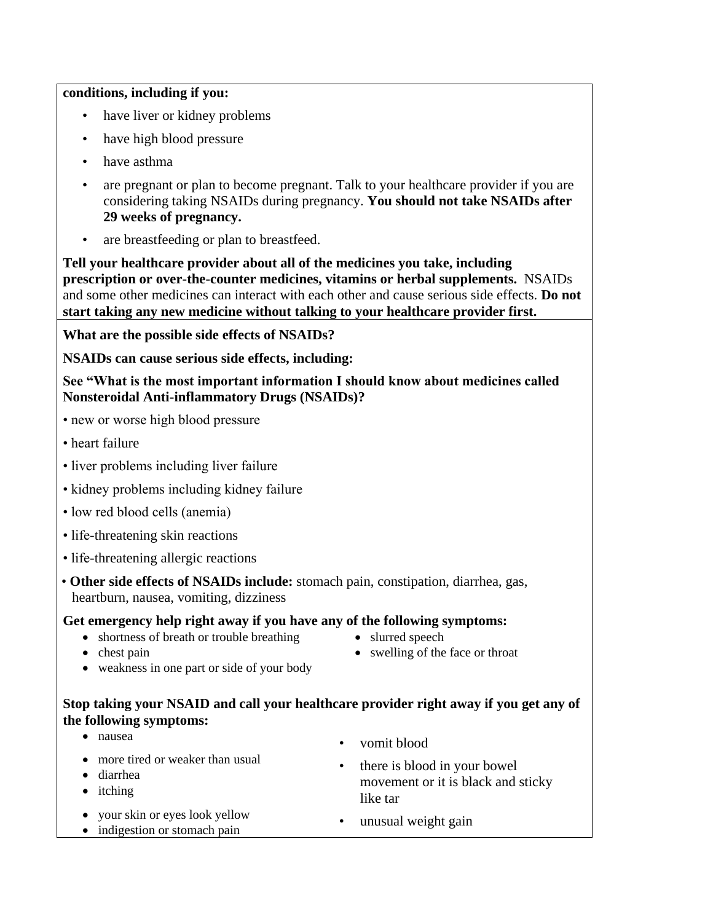#### **conditions, including if you:**

- have liver or kidney problems
- have high blood pressure
- have asthma
- are pregnant or plan to become pregnant. Talk to your healthcare provider if you are considering taking NSAIDs during pregnancy. **You should not take NSAIDs after 29 weeks of pregnancy.**
- are breastfeeding or plan to breastfeed.

**Tell your healthcare provider about all of the medicines you take, including prescription or over-the-counter medicines, vitamins or herbal supplements.** NSAIDs and some other medicines can interact with each other and cause serious side effects. **Do not start taking any new medicine without talking to your healthcare provider first.**

**What are the possible side effects of NSAIDs?**

**NSAIDs can cause serious side effects, including:**

**See "What is the most important information I should know about medicines called Nonsteroidal Anti-inflammatory Drugs (NSAIDs)?**

- new or worse high blood pressure
- heart failure
- liver problems including liver failure
- kidney problems including kidney failure
- low red blood cells (anemia)
- life-threatening skin reactions
- life-threatening allergic reactions
- **Other side effects of NSAIDs include:** stomach pain, constipation, diarrhea, gas, heartburn, nausea, vomiting, dizziness

#### **Get emergency help right away if you have any of the following symptoms:**

- shortness of breath or trouble breathing
- slurred speech

• chest pain

- swelling of the face or throat
- weakness in one part or side of your body

#### **Stop taking your NSAID and call your healthcare provider right away if you get any of the following symptoms:**

 nausea • vomit blood • more tired or weaker than usual diarrhea • itching there is blood in your bowel movement or it is black and sticky like tar your skin or eyes look yellow • your skin or eyes look yellow • unusual weight gain • unusual weight gain